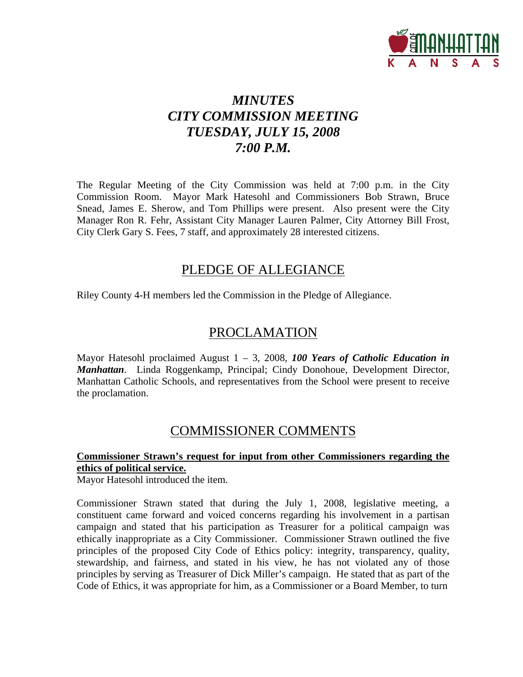

## *MINUTES CITY COMMISSION MEETING TUESDAY, JULY 15, 2008 7:00 P.M.*

The Regular Meeting of the City Commission was held at 7:00 p.m. in the City Commission Room. Mayor Mark Hatesohl and Commissioners Bob Strawn, Bruce Snead, James E. Sherow, and Tom Phillips were present. Also present were the City Manager Ron R. Fehr, Assistant City Manager Lauren Palmer, City Attorney Bill Frost, City Clerk Gary S. Fees, 7 staff, and approximately 28 interested citizens.

### PLEDGE OF ALLEGIANCE

Riley County 4-H members led the Commission in the Pledge of Allegiance.

### PROCLAMATION

Mayor Hatesohl proclaimed August 1 – 3, 2008, *100 Years of Catholic Education in Manhattan*. Linda Roggenkamp, Principal; Cindy Donohoue, Development Director, Manhattan Catholic Schools, and representatives from the School were present to receive the proclamation.

### COMMISSIONER COMMENTS

#### **Commissioner Strawn's request for input from other Commissioners regarding the ethics of political service.**

Mayor Hatesohl introduced the item.

Commissioner Strawn stated that during the July 1, 2008, legislative meeting, a constituent came forward and voiced concerns regarding his involvement in a partisan campaign and stated that his participation as Treasurer for a political campaign was ethically inappropriate as a City Commissioner. Commissioner Strawn outlined the five principles of the proposed City Code of Ethics policy: integrity, transparency, quality, stewardship, and fairness, and stated in his view, he has not violated any of those principles by serving as Treasurer of Dick Miller's campaign. He stated that as part of the Code of Ethics, it was appropriate for him, as a Commissioner or a Board Member, to turn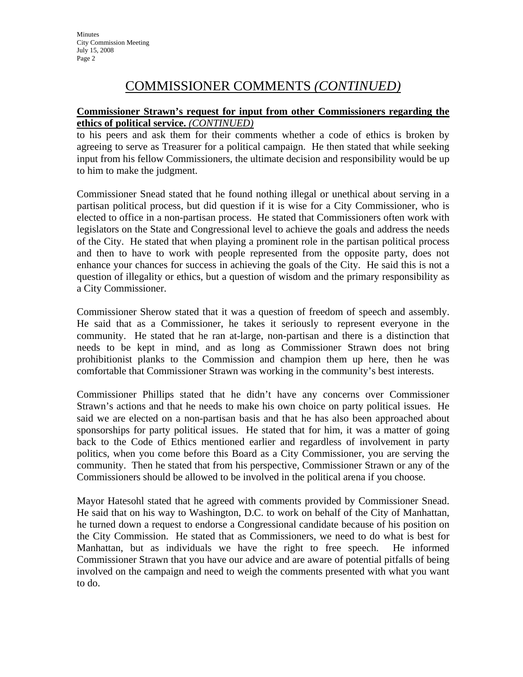## COMMISSIONER COMMENTS *(CONTINUED)*

#### **Commissioner Strawn's request for input from other Commissioners regarding the ethics of political service.** *(CONTINUED)*

to his peers and ask them for their comments whether a code of ethics is broken by agreeing to serve as Treasurer for a political campaign. He then stated that while seeking input from his fellow Commissioners, the ultimate decision and responsibility would be up to him to make the judgment.

Commissioner Snead stated that he found nothing illegal or unethical about serving in a partisan political process, but did question if it is wise for a City Commissioner, who is elected to office in a non-partisan process. He stated that Commissioners often work with legislators on the State and Congressional level to achieve the goals and address the needs of the City. He stated that when playing a prominent role in the partisan political process and then to have to work with people represented from the opposite party, does not enhance your chances for success in achieving the goals of the City. He said this is not a question of illegality or ethics, but a question of wisdom and the primary responsibility as a City Commissioner.

Commissioner Sherow stated that it was a question of freedom of speech and assembly. He said that as a Commissioner, he takes it seriously to represent everyone in the community. He stated that he ran at-large, non-partisan and there is a distinction that needs to be kept in mind, and as long as Commissioner Strawn does not bring prohibitionist planks to the Commission and champion them up here, then he was comfortable that Commissioner Strawn was working in the community's best interests.

Commissioner Phillips stated that he didn't have any concerns over Commissioner Strawn's actions and that he needs to make his own choice on party political issues. He said we are elected on a non-partisan basis and that he has also been approached about sponsorships for party political issues. He stated that for him, it was a matter of going back to the Code of Ethics mentioned earlier and regardless of involvement in party politics, when you come before this Board as a City Commissioner, you are serving the community. Then he stated that from his perspective, Commissioner Strawn or any of the Commissioners should be allowed to be involved in the political arena if you choose.

Mayor Hatesohl stated that he agreed with comments provided by Commissioner Snead. He said that on his way to Washington, D.C. to work on behalf of the City of Manhattan, he turned down a request to endorse a Congressional candidate because of his position on the City Commission. He stated that as Commissioners, we need to do what is best for Manhattan, but as individuals we have the right to free speech. He informed Commissioner Strawn that you have our advice and are aware of potential pitfalls of being involved on the campaign and need to weigh the comments presented with what you want to do.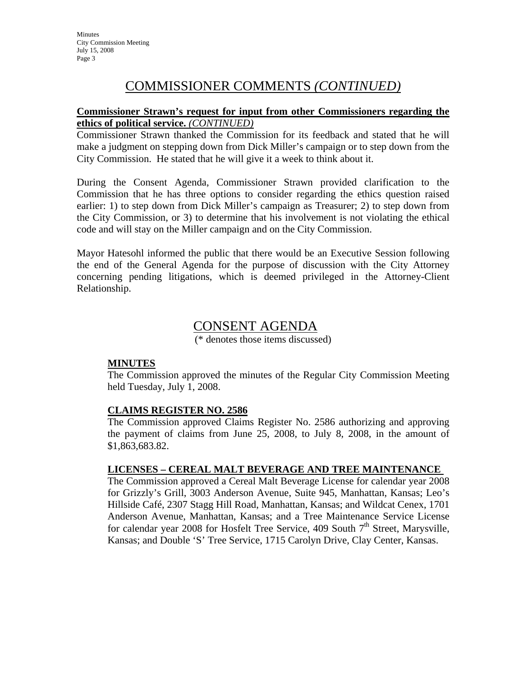## COMMISSIONER COMMENTS *(CONTINUED)*

#### **Commissioner Strawn's request for input from other Commissioners regarding the ethics of political service.** *(CONTINUED)*

Commissioner Strawn thanked the Commission for its feedback and stated that he will make a judgment on stepping down from Dick Miller's campaign or to step down from the City Commission. He stated that he will give it a week to think about it.

During the Consent Agenda, Commissioner Strawn provided clarification to the Commission that he has three options to consider regarding the ethics question raised earlier: 1) to step down from Dick Miller's campaign as Treasurer; 2) to step down from the City Commission, or 3) to determine that his involvement is not violating the ethical code and will stay on the Miller campaign and on the City Commission.

Mayor Hatesohl informed the public that there would be an Executive Session following the end of the General Agenda for the purpose of discussion with the City Attorney concerning pending litigations, which is deemed privileged in the Attorney-Client Relationship.

### CONSENT AGENDA

(\* denotes those items discussed)

#### **MINUTES**

The Commission approved the minutes of the Regular City Commission Meeting held Tuesday, July 1, 2008.

#### **CLAIMS REGISTER NO. 2586**

The Commission approved Claims Register No. 2586 authorizing and approving the payment of claims from June 25, 2008, to July 8, 2008, in the amount of \$1,863,683.82.

#### **LICENSES – CEREAL MALT BEVERAGE AND TREE MAINTENANCE**

The Commission approved a Cereal Malt Beverage License for calendar year 2008 for Grizzly's Grill, 3003 Anderson Avenue, Suite 945, Manhattan, Kansas; Leo's Hillside Café, 2307 Stagg Hill Road, Manhattan, Kansas; and Wildcat Cenex, 1701 Anderson Avenue, Manhattan, Kansas; and a Tree Maintenance Service License for calendar year 2008 for Hosfelt Tree Service, 409 South  $7<sup>th</sup>$  Street, Marysville, Kansas; and Double 'S' Tree Service, 1715 Carolyn Drive, Clay Center, Kansas.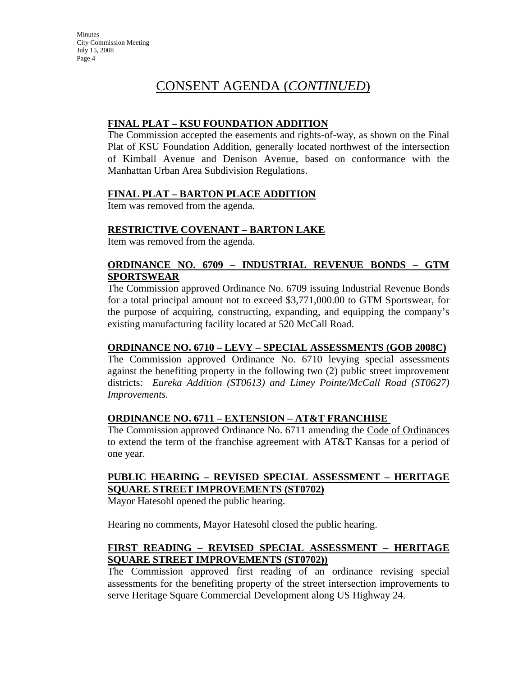#### **FINAL PLAT – KSU FOUNDATION ADDITION**

The Commission accepted the easements and rights-of-way, as shown on the Final Plat of KSU Foundation Addition, generally located northwest of the intersection of Kimball Avenue and Denison Avenue, based on conformance with the Manhattan Urban Area Subdivision Regulations.

#### **FINAL PLAT – BARTON PLACE ADDITION**

Item was removed from the agenda.

#### **RESTRICTIVE COVENANT – BARTON LAKE**

Item was removed from the agenda.

#### **ORDINANCE NO. 6709 – INDUSTRIAL REVENUE BONDS – GTM SPORTSWEAR**

The Commission approved Ordinance No. 6709 issuing Industrial Revenue Bonds for a total principal amount not to exceed \$3,771,000.00 to GTM Sportswear, for the purpose of acquiring, constructing, expanding, and equipping the company's existing manufacturing facility located at 520 McCall Road.

#### **ORDINANCE NO. 6710 – LEVY – SPECIAL ASSESSMENTS (GOB 2008C)**

The Commission approved Ordinance No. 6710 levying special assessments against the benefiting property in the following two (2) public street improvement districts: *Eureka Addition (ST0613) and Limey Pointe/McCall Road (ST0627) Improvements.*

#### **ORDINANCE NO. 6711 – EXTENSION – AT&T FRANCHISE**

The Commission approved Ordinance No. 6711 amending the Code of Ordinances to extend the term of the franchise agreement with AT&T Kansas for a period of one year.

#### **PUBLIC HEARING – REVISED SPECIAL ASSESSMENT – HERITAGE SQUARE STREET IMPROVEMENTS (ST0702)**

Mayor Hatesohl opened the public hearing.

Hearing no comments, Mayor Hatesohl closed the public hearing.

#### **FIRST READING – REVISED SPECIAL ASSESSMENT – HERITAGE SQUARE STREET IMPROVEMENTS (ST0702))**

The Commission approved first reading of an ordinance revising special assessments for the benefiting property of the street intersection improvements to serve Heritage Square Commercial Development along US Highway 24.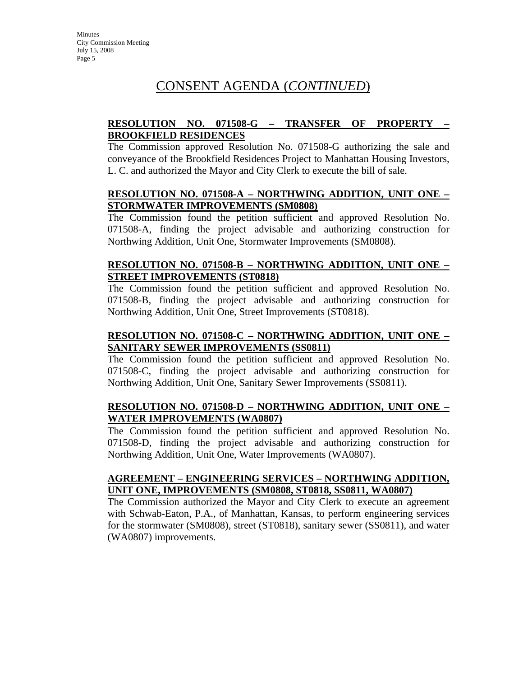#### **RESOLUTION NO. 071508-G – TRANSFER OF PROPERTY – BROOKFIELD RESIDENCES**

The Commission approved Resolution No. 071508-G authorizing the sale and conveyance of the Brookfield Residences Project to Manhattan Housing Investors, L. C. and authorized the Mayor and City Clerk to execute the bill of sale.

#### **RESOLUTION NO. 071508-A – NORTHWING ADDITION, UNIT ONE – STORMWATER IMPROVEMENTS (SM0808)**

The Commission found the petition sufficient and approved Resolution No. 071508-A, finding the project advisable and authorizing construction for Northwing Addition, Unit One, Stormwater Improvements (SM0808).

#### **RESOLUTION NO. 071508-B – NORTHWING ADDITION, UNIT ONE – STREET IMPROVEMENTS (ST0818)**

The Commission found the petition sufficient and approved Resolution No. 071508-B, finding the project advisable and authorizing construction for Northwing Addition, Unit One, Street Improvements (ST0818).

#### **RESOLUTION NO. 071508-C – NORTHWING ADDITION, UNIT ONE – SANITARY SEWER IMPROVEMENTS (SS0811)**

The Commission found the petition sufficient and approved Resolution No. 071508-C, finding the project advisable and authorizing construction for Northwing Addition, Unit One, Sanitary Sewer Improvements (SS0811).

#### **RESOLUTION NO. 071508-D – NORTHWING ADDITION, UNIT ONE – WATER IMPROVEMENTS (WA0807)**

The Commission found the petition sufficient and approved Resolution No. 071508-D, finding the project advisable and authorizing construction for Northwing Addition, Unit One, Water Improvements (WA0807).

#### **AGREEMENT – ENGINEERING SERVICES – NORTHWING ADDITION, UNIT ONE, IMPROVEMENTS (SM0808, ST0818, SS0811, WA0807)**

The Commission authorized the Mayor and City Clerk to execute an agreement with Schwab-Eaton, P.A., of Manhattan, Kansas, to perform engineering services for the stormwater (SM0808), street (ST0818), sanitary sewer (SS0811), and water (WA0807) improvements.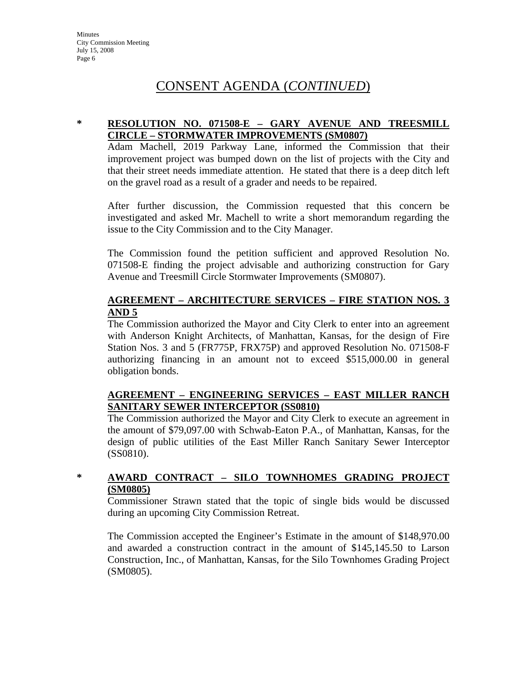#### **\* RESOLUTION NO. 071508-E – GARY AVENUE AND TREESMILL CIRCLE – STORMWATER IMPROVEMENTS (SM0807)**

Adam Machell, 2019 Parkway Lane, informed the Commission that their improvement project was bumped down on the list of projects with the City and that their street needs immediate attention. He stated that there is a deep ditch left on the gravel road as a result of a grader and needs to be repaired.

After further discussion, the Commission requested that this concern be investigated and asked Mr. Machell to write a short memorandum regarding the issue to the City Commission and to the City Manager.

The Commission found the petition sufficient and approved Resolution No. 071508-E finding the project advisable and authorizing construction for Gary Avenue and Treesmill Circle Stormwater Improvements (SM0807).

#### **AGREEMENT – ARCHITECTURE SERVICES – FIRE STATION NOS. 3 AND 5**

The Commission authorized the Mayor and City Clerk to enter into an agreement with Anderson Knight Architects, of Manhattan, Kansas, for the design of Fire Station Nos. 3 and 5 (FR775P, FRX75P) and approved Resolution No. 071508-F authorizing financing in an amount not to exceed \$515,000.00 in general obligation bonds.

#### **AGREEMENT – ENGINEERING SERVICES – EAST MILLER RANCH SANITARY SEWER INTERCEPTOR (SS0810)**

The Commission authorized the Mayor and City Clerk to execute an agreement in the amount of \$79,097.00 with Schwab-Eaton P.A., of Manhattan, Kansas, for the design of public utilities of the East Miller Ranch Sanitary Sewer Interceptor (SS0810).

#### **\* AWARD CONTRACT – SILO TOWNHOMES GRADING PROJECT (SM0805)**

Commissioner Strawn stated that the topic of single bids would be discussed during an upcoming City Commission Retreat.

The Commission accepted the Engineer's Estimate in the amount of \$148,970.00 and awarded a construction contract in the amount of \$145,145.50 to Larson Construction, Inc., of Manhattan, Kansas, for the Silo Townhomes Grading Project (SM0805).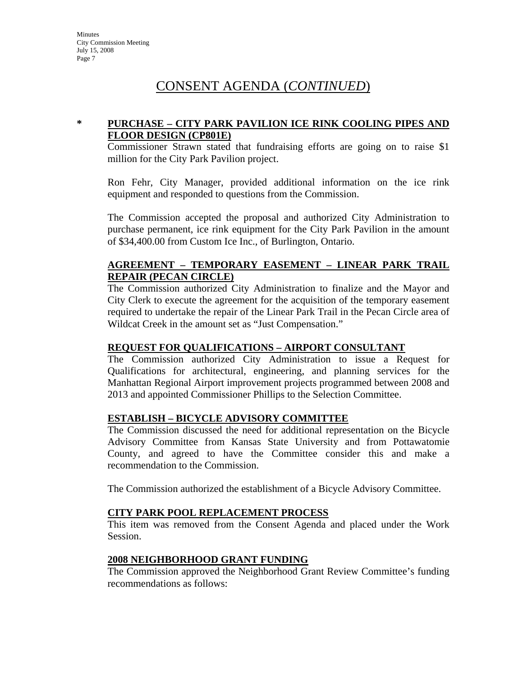#### **\* PURCHASE – CITY PARK PAVILION ICE RINK COOLING PIPES AND FLOOR DESIGN (CP801E)**

Commissioner Strawn stated that fundraising efforts are going on to raise \$1 million for the City Park Pavilion project.

Ron Fehr, City Manager, provided additional information on the ice rink equipment and responded to questions from the Commission.

The Commission accepted the proposal and authorized City Administration to purchase permanent, ice rink equipment for the City Park Pavilion in the amount of \$34,400.00 from Custom Ice Inc., of Burlington, Ontario.

#### **AGREEMENT – TEMPORARY EASEMENT – LINEAR PARK TRAIL REPAIR (PECAN CIRCLE)**

The Commission authorized City Administration to finalize and the Mayor and City Clerk to execute the agreement for the acquisition of the temporary easement required to undertake the repair of the Linear Park Trail in the Pecan Circle area of Wildcat Creek in the amount set as "Just Compensation."

#### **REQUEST FOR QUALIFICATIONS – AIRPORT CONSULTANT**

The Commission authorized City Administration to issue a Request for Qualifications for architectural, engineering, and planning services for the Manhattan Regional Airport improvement projects programmed between 2008 and 2013 and appointed Commissioner Phillips to the Selection Committee.

#### **ESTABLISH – BICYCLE ADVISORY COMMITTEE**

The Commission discussed the need for additional representation on the Bicycle Advisory Committee from Kansas State University and from Pottawatomie County, and agreed to have the Committee consider this and make a recommendation to the Commission.

The Commission authorized the establishment of a Bicycle Advisory Committee.

#### **CITY PARK POOL REPLACEMENT PROCESS**

This item was removed from the Consent Agenda and placed under the Work Session.

#### **2008 NEIGHBORHOOD GRANT FUNDING**

The Commission approved the Neighborhood Grant Review Committee's funding recommendations as follows: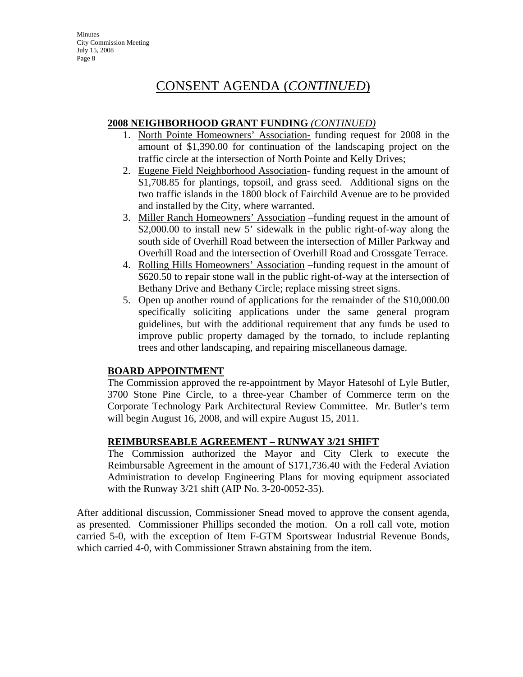#### **2008 NEIGHBORHOOD GRANT FUNDING** *(CONTINUED)*

- 1. North Pointe Homeowners' Association- funding request for 2008 in the amount of \$1,390.00 for continuation of the landscaping project on the traffic circle at the intersection of North Pointe and Kelly Drives;
- 2. Eugene Field Neighborhood Association- funding request in the amount of \$1,708.85 for plantings, topsoil, and grass seed. Additional signs on the two traffic islands in the 1800 block of Fairchild Avenue are to be provided and installed by the City, where warranted.
- 3. Miller Ranch Homeowners' Association *–*funding request in the amount of \$2,000.00 to install new 5' sidewalk in the public right-of-way along the south side of Overhill Road between the intersection of Miller Parkway and Overhill Road and the intersection of Overhill Road and Crossgate Terrace.
- 4. Rolling Hills Homeowners' Association –funding request in the amount of \$620.50 to **r**epair stone wall in the public right-of-way at the intersection of Bethany Drive and Bethany Circle; replace missing street signs.
- 5. Open up another round of applications for the remainder of the \$10,000.00 specifically soliciting applications under the same general program guidelines, but with the additional requirement that any funds be used to improve public property damaged by the tornado, to include replanting trees and other landscaping, and repairing miscellaneous damage.

### **BOARD APPOINTMENT**

The Commission approved the re-appointment by Mayor Hatesohl of Lyle Butler, 3700 Stone Pine Circle, to a three-year Chamber of Commerce term on the Corporate Technology Park Architectural Review Committee. Mr. Butler's term will begin August 16, 2008, and will expire August 15, 2011.

### **REIMBURSEABLE AGREEMENT – RUNWAY 3/21 SHIFT**

The Commission authorized the Mayor and City Clerk to execute the Reimbursable Agreement in the amount of \$171,736.40 with the Federal Aviation Administration to develop Engineering Plans for moving equipment associated with the Runway 3/21 shift (AIP No. 3-20-0052-35).

After additional discussion, Commissioner Snead moved to approve the consent agenda, as presented. Commissioner Phillips seconded the motion. On a roll call vote, motion carried 5-0, with the exception of Item F-GTM Sportswear Industrial Revenue Bonds, which carried 4-0, with Commissioner Strawn abstaining from the item.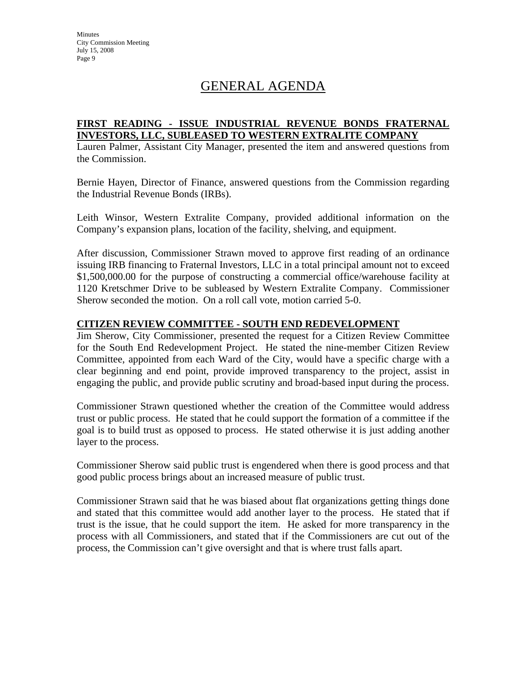**Minutes** City Commission Meeting July 15, 2008 Page 9

### GENERAL AGENDA

#### **FIRST READING - ISSUE INDUSTRIAL REVENUE BONDS FRATERNAL INVESTORS, LLC, SUBLEASED TO WESTERN EXTRALITE COMPANY**

Lauren Palmer, Assistant City Manager, presented the item and answered questions from the Commission.

Bernie Hayen, Director of Finance, answered questions from the Commission regarding the Industrial Revenue Bonds (IRBs).

Leith Winsor, Western Extralite Company, provided additional information on the Company's expansion plans, location of the facility, shelving, and equipment.

After discussion, Commissioner Strawn moved to approve first reading of an ordinance issuing IRB financing to Fraternal Investors, LLC in a total principal amount not to exceed \$1,500,000.00 for the purpose of constructing a commercial office/warehouse facility at 1120 Kretschmer Drive to be subleased by Western Extralite Company. Commissioner Sherow seconded the motion. On a roll call vote, motion carried 5-0.

#### **CITIZEN REVIEW COMMITTEE - SOUTH END REDEVELOPMENT**

Jim Sherow, City Commissioner, presented the request for a Citizen Review Committee for the South End Redevelopment Project. He stated the nine-member Citizen Review Committee, appointed from each Ward of the City, would have a specific charge with a clear beginning and end point, provide improved transparency to the project, assist in engaging the public, and provide public scrutiny and broad-based input during the process.

Commissioner Strawn questioned whether the creation of the Committee would address trust or public process. He stated that he could support the formation of a committee if the goal is to build trust as opposed to process. He stated otherwise it is just adding another layer to the process.

Commissioner Sherow said public trust is engendered when there is good process and that good public process brings about an increased measure of public trust.

Commissioner Strawn said that he was biased about flat organizations getting things done and stated that this committee would add another layer to the process. He stated that if trust is the issue, that he could support the item. He asked for more transparency in the process with all Commissioners, and stated that if the Commissioners are cut out of the process, the Commission can't give oversight and that is where trust falls apart.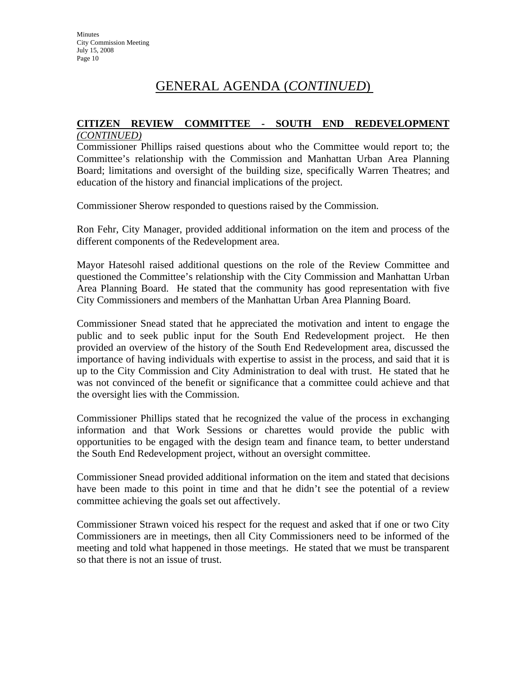### GENERAL AGENDA (*CONTINUED*)

## **CITIZEN REVIEW COMMITTEE - SOUTH END REDEVELOPMENT**

#### *(CONTINUED)*

Commissioner Phillips raised questions about who the Committee would report to; the Committee's relationship with the Commission and Manhattan Urban Area Planning Board; limitations and oversight of the building size, specifically Warren Theatres; and education of the history and financial implications of the project.

Commissioner Sherow responded to questions raised by the Commission.

Ron Fehr, City Manager, provided additional information on the item and process of the different components of the Redevelopment area.

Mayor Hatesohl raised additional questions on the role of the Review Committee and questioned the Committee's relationship with the City Commission and Manhattan Urban Area Planning Board. He stated that the community has good representation with five City Commissioners and members of the Manhattan Urban Area Planning Board.

Commissioner Snead stated that he appreciated the motivation and intent to engage the public and to seek public input for the South End Redevelopment project. He then provided an overview of the history of the South End Redevelopment area, discussed the importance of having individuals with expertise to assist in the process, and said that it is up to the City Commission and City Administration to deal with trust. He stated that he was not convinced of the benefit or significance that a committee could achieve and that the oversight lies with the Commission.

Commissioner Phillips stated that he recognized the value of the process in exchanging information and that Work Sessions or charettes would provide the public with opportunities to be engaged with the design team and finance team, to better understand the South End Redevelopment project, without an oversight committee.

Commissioner Snead provided additional information on the item and stated that decisions have been made to this point in time and that he didn't see the potential of a review committee achieving the goals set out affectively.

Commissioner Strawn voiced his respect for the request and asked that if one or two City Commissioners are in meetings, then all City Commissioners need to be informed of the meeting and told what happened in those meetings. He stated that we must be transparent so that there is not an issue of trust.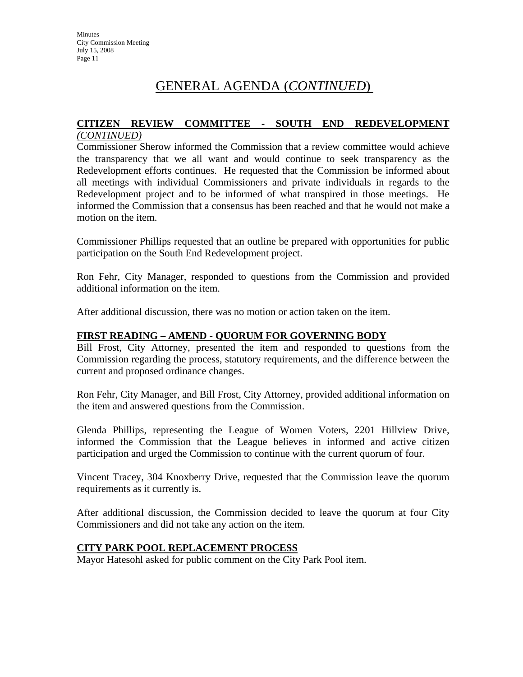### GENERAL AGENDA (*CONTINUED*)

# **CITIZEN REVIEW COMMITTEE - SOUTH END REDEVELOPMENT**

### *(CONTINUED)*

Commissioner Sherow informed the Commission that a review committee would achieve the transparency that we all want and would continue to seek transparency as the Redevelopment efforts continues. He requested that the Commission be informed about all meetings with individual Commissioners and private individuals in regards to the Redevelopment project and to be informed of what transpired in those meetings. He informed the Commission that a consensus has been reached and that he would not make a motion on the item.

Commissioner Phillips requested that an outline be prepared with opportunities for public participation on the South End Redevelopment project.

Ron Fehr, City Manager, responded to questions from the Commission and provided additional information on the item.

After additional discussion, there was no motion or action taken on the item.

#### **FIRST READING – AMEND - QUORUM FOR GOVERNING BODY**

Bill Frost, City Attorney, presented the item and responded to questions from the Commission regarding the process, statutory requirements, and the difference between the current and proposed ordinance changes.

Ron Fehr, City Manager, and Bill Frost, City Attorney, provided additional information on the item and answered questions from the Commission.

Glenda Phillips, representing the League of Women Voters, 2201 Hillview Drive, informed the Commission that the League believes in informed and active citizen participation and urged the Commission to continue with the current quorum of four.

Vincent Tracey, 304 Knoxberry Drive, requested that the Commission leave the quorum requirements as it currently is.

After additional discussion, the Commission decided to leave the quorum at four City Commissioners and did not take any action on the item.

#### **CITY PARK POOL REPLACEMENT PROCESS**

Mayor Hatesohl asked for public comment on the City Park Pool item.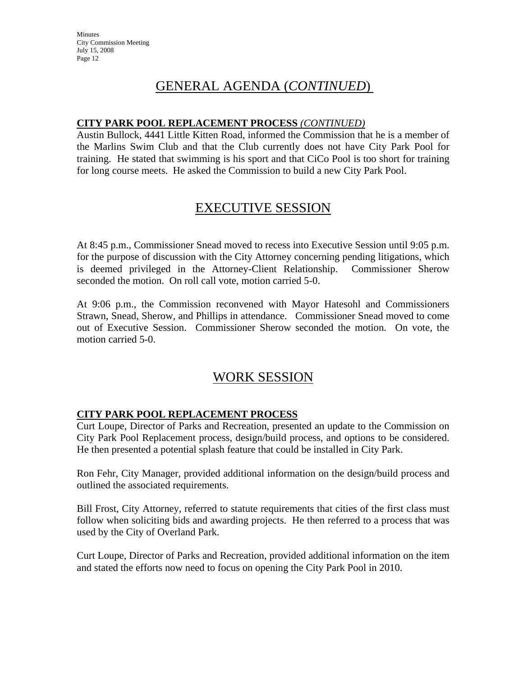### GENERAL AGENDA (*CONTINUED*)

#### **CITY PARK POOL REPLACEMENT PROCESS** *(CONTINUED)*

Austin Bullock, 4441 Little Kitten Road, informed the Commission that he is a member of the Marlins Swim Club and that the Club currently does not have City Park Pool for training. He stated that swimming is his sport and that CiCo Pool is too short for training for long course meets. He asked the Commission to build a new City Park Pool.

### EXECUTIVE SESSION

At 8:45 p.m., Commissioner Snead moved to recess into Executive Session until 9:05 p.m. for the purpose of discussion with the City Attorney concerning pending litigations, which is deemed privileged in the Attorney-Client Relationship. Commissioner Sherow seconded the motion. On roll call vote, motion carried 5-0.

At 9:06 p.m., the Commission reconvened with Mayor Hatesohl and Commissioners Strawn, Snead, Sherow, and Phillips in attendance. Commissioner Snead moved to come out of Executive Session. Commissioner Sherow seconded the motion. On vote, the motion carried 5-0.

### WORK SESSION

#### **CITY PARK POOL REPLACEMENT PROCESS**

Curt Loupe, Director of Parks and Recreation, presented an update to the Commission on City Park Pool Replacement process, design/build process, and options to be considered. He then presented a potential splash feature that could be installed in City Park.

Ron Fehr, City Manager, provided additional information on the design/build process and outlined the associated requirements.

Bill Frost, City Attorney, referred to statute requirements that cities of the first class must follow when soliciting bids and awarding projects. He then referred to a process that was used by the City of Overland Park.

Curt Loupe, Director of Parks and Recreation, provided additional information on the item and stated the efforts now need to focus on opening the City Park Pool in 2010.